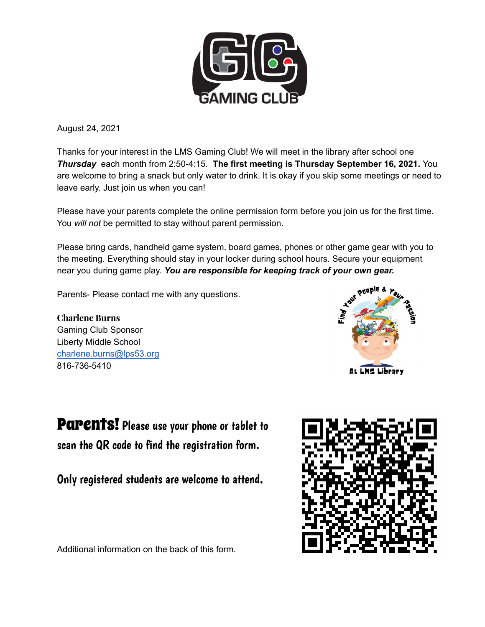

August 24, 2021

Thanks for your interest in the LMS Gaming Club! We will meet in the library after school one *Thursday* each month from 2:50-4:15. **The first meeting is Thursday September 16, 2021.** You are welcome to bring a snack but only water to drink. It is okay if you skip some meetings or need to leave early. Just join us when you can!

Please have your parents complete the online permission form before you join us for the first time. You *will not* be permitted to stay without parent permission.

Please bring cards, handheld game system, board games, phones or other game gear with you to the meeting. Everything should stay in your locker during school hours. Secure your equipment near you during game play. *You are responsible for keeping track of your own gear.*

Parents- Please contact me with any questions.

**Charlene Burns** Gaming Club Sponsor Liberty Middle School charlene.burns@lps53.org 816-736-5410



**Parents!** Please use your phone or tablet to scan the QR code to find the registration form.

Only registered students are welcome to attend.



Additional information on the back of this form.